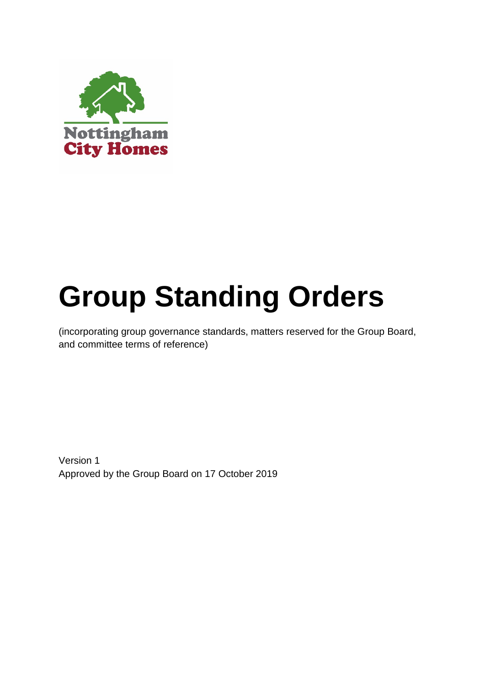

# **Group Standing Orders**

(incorporating group governance standards, matters reserved for the Group Board, and committee terms of reference)

Version 1 Approved by the Group Board on 17 October 2019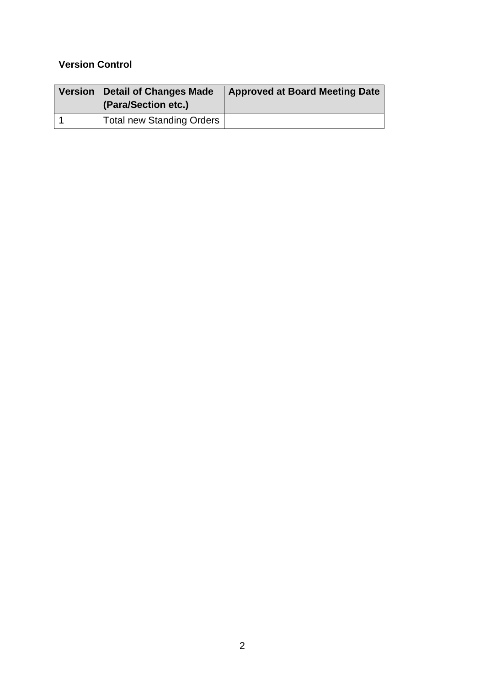# **Version Control**

| Version   Detail of Changes Made<br>(Para/Section etc.) | <b>Approved at Board Meeting Date</b> |
|---------------------------------------------------------|---------------------------------------|
| Total new Standing Orders                               |                                       |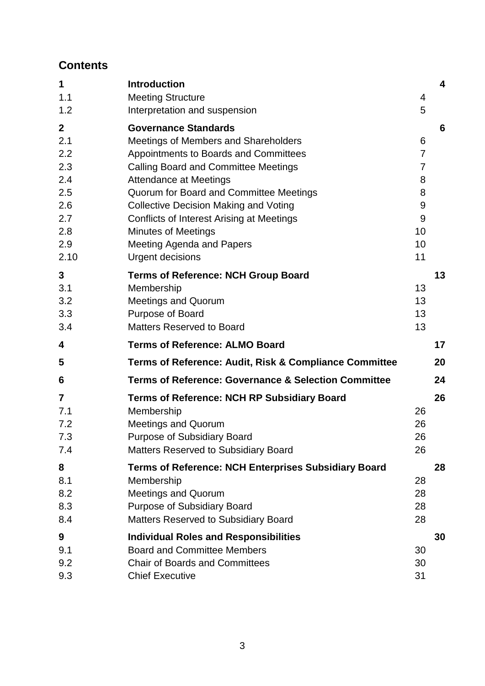# **Contents**

| 1                | <b>Introduction</b>                                             |                | $\overline{\mathbf{4}}$ |
|------------------|-----------------------------------------------------------------|----------------|-------------------------|
| 1.1              | <b>Meeting Structure</b>                                        | 4              |                         |
| 1.2              | Interpretation and suspension                                   | 5              |                         |
| $\boldsymbol{2}$ | <b>Governance Standards</b>                                     |                | 6                       |
| 2.1              | Meetings of Members and Shareholders                            | 6              |                         |
| 2.2              | Appointments to Boards and Committees                           | $\overline{7}$ |                         |
| 2.3              | <b>Calling Board and Committee Meetings</b>                     | $\overline{7}$ |                         |
| 2.4              | <b>Attendance at Meetings</b>                                   | 8              |                         |
| 2.5              | Quorum for Board and Committee Meetings                         | 8              |                         |
| 2.6              | <b>Collective Decision Making and Voting</b>                    | 9              |                         |
| 2.7              | Conflicts of Interest Arising at Meetings                       | 9              |                         |
| 2.8              | <b>Minutes of Meetings</b>                                      | 10             |                         |
| 2.9              | Meeting Agenda and Papers                                       | 10             |                         |
| 2.10             | <b>Urgent decisions</b>                                         | 11             |                         |
| 3                | <b>Terms of Reference: NCH Group Board</b>                      |                | 13                      |
| 3.1              | Membership                                                      | 13             |                         |
| 3.2              | <b>Meetings and Quorum</b>                                      | 13             |                         |
| 3.3              | Purpose of Board                                                | 13             |                         |
| 3.4              | <b>Matters Reserved to Board</b>                                | 13             |                         |
|                  |                                                                 |                |                         |
| 4                | <b>Terms of Reference: ALMO Board</b>                           |                | 17                      |
| 5                | Terms of Reference: Audit, Risk & Compliance Committee          |                | 20                      |
| 6                | <b>Terms of Reference: Governance &amp; Selection Committee</b> |                | 24                      |
| 7                | <b>Terms of Reference: NCH RP Subsidiary Board</b>              |                | 26                      |
| 7.1              | Membership                                                      | 26             |                         |
| 7.2              | <b>Meetings and Quorum</b>                                      | 26             |                         |
| 7.3              | <b>Purpose of Subsidiary Board</b>                              | 26             |                         |
| 7.4              | <b>Matters Reserved to Subsidiary Board</b>                     | 26             |                         |
| 8                | <b>Terms of Reference: NCH Enterprises Subsidiary Board</b>     |                | 28                      |
| 8.1              | Membership                                                      | 28             |                         |
| 8.2              | Meetings and Quorum                                             | 28             |                         |
| 8.3              | <b>Purpose of Subsidiary Board</b>                              | 28             |                         |
| 8.4              | <b>Matters Reserved to Subsidiary Board</b>                     | 28             |                         |
| 9                | <b>Individual Roles and Responsibilities</b>                    |                | 30                      |
| 9.1              | <b>Board and Committee Members</b>                              | 30             |                         |
| 9.2              | <b>Chair of Boards and Committees</b>                           | 30             |                         |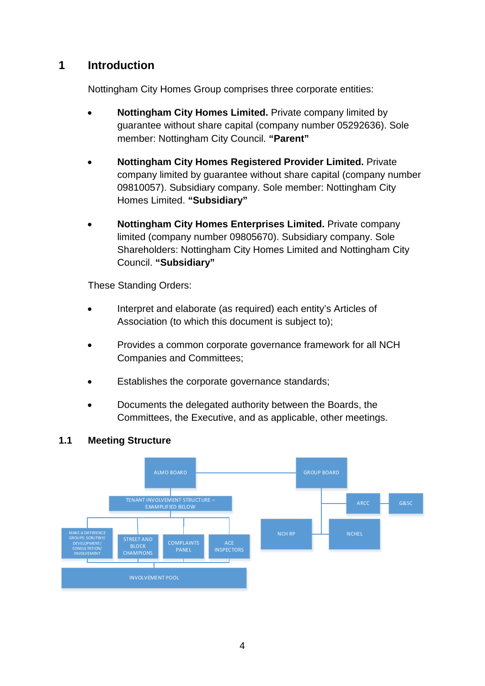# <span id="page-3-0"></span>**1 Introduction**

Nottingham City Homes Group comprises three corporate entities:

- **Nottingham City Homes Limited.** Private company limited by guarantee without share capital (company number 05292636). Sole member: Nottingham City Council. **"Parent"**
- **Nottingham City Homes Registered Provider Limited.** Private company limited by guarantee without share capital (company number 09810057). Subsidiary company. Sole member: Nottingham City Homes Limited. **"Subsidiary"**
- **Nottingham City Homes Enterprises Limited.** Private company limited (company number 09805670). Subsidiary company. Sole Shareholders: Nottingham City Homes Limited and Nottingham City Council. **"Subsidiary"**

These Standing Orders:

- Interpret and elaborate (as required) each entity's Articles of Association (to which this document is subject to);
- Provides a common corporate governance framework for all NCH Companies and Committees;
- Establishes the corporate governance standards;
- Documents the delegated authority between the Boards, the Committees, the Executive, and as applicable, other meetings.

## <span id="page-3-1"></span>**1.1 Meeting Structure**

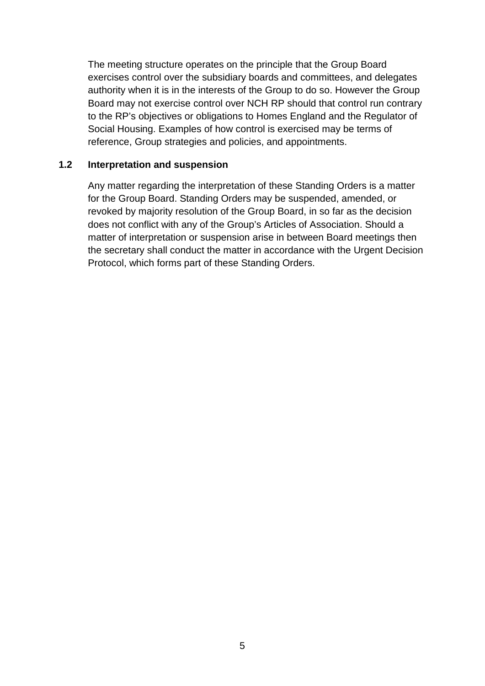The meeting structure operates on the principle that the Group Board exercises control over the subsidiary boards and committees, and delegates authority when it is in the interests of the Group to do so. However the Group Board may not exercise control over NCH RP should that control run contrary to the RP's objectives or obligations to Homes England and the Regulator of Social Housing. Examples of how control is exercised may be terms of reference, Group strategies and policies, and appointments.

#### <span id="page-4-0"></span>**1.2 Interpretation and suspension**

Any matter regarding the interpretation of these Standing Orders is a matter for the Group Board. Standing Orders may be suspended, amended, or revoked by majority resolution of the Group Board, in so far as the decision does not conflict with any of the Group's Articles of Association. Should a matter of interpretation or suspension arise in between Board meetings then the secretary shall conduct the matter in accordance with the Urgent Decision Protocol, which forms part of these Standing Orders.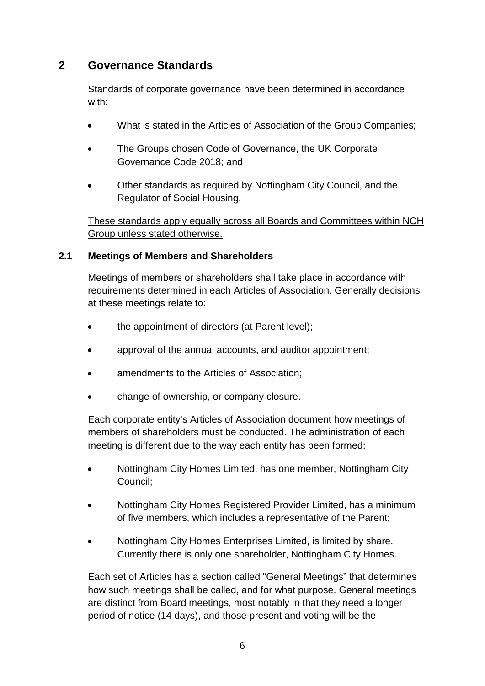# <span id="page-5-0"></span>**2 Governance Standards**

Standards of corporate governance have been determined in accordance with:

- What is stated in the Articles of Association of the Group Companies;
- The Groups chosen Code of Governance, the UK Corporate Governance Code 2018; and
- Other standards as required by Nottingham City Council, and the Regulator of Social Housing.

These standards apply equally across all Boards and Committees within NCH Group unless stated otherwise.

## <span id="page-5-1"></span>**2.1 Meetings of Members and Shareholders**

Meetings of members or shareholders shall take place in accordance with requirements determined in each Articles of Association. Generally decisions at these meetings relate to:

- the appointment of directors (at Parent level);
- approval of the annual accounts, and auditor appointment;
- amendments to the Articles of Association;
- change of ownership, or company closure.

Each corporate entity's Articles of Association document how meetings of members of shareholders must be conducted. The administration of each meeting is different due to the way each entity has been formed:

- Nottingham City Homes Limited, has one member, Nottingham City Council;
- Nottingham City Homes Registered Provider Limited, has a minimum of five members, which includes a representative of the Parent;
- Nottingham City Homes Enterprises Limited, is limited by share. Currently there is only one shareholder, Nottingham City Homes.

Each set of Articles has a section called "General Meetings" that determines how such meetings shall be called, and for what purpose. General meetings are distinct from Board meetings, most notably in that they need a longer period of notice (14 days), and those present and voting will be the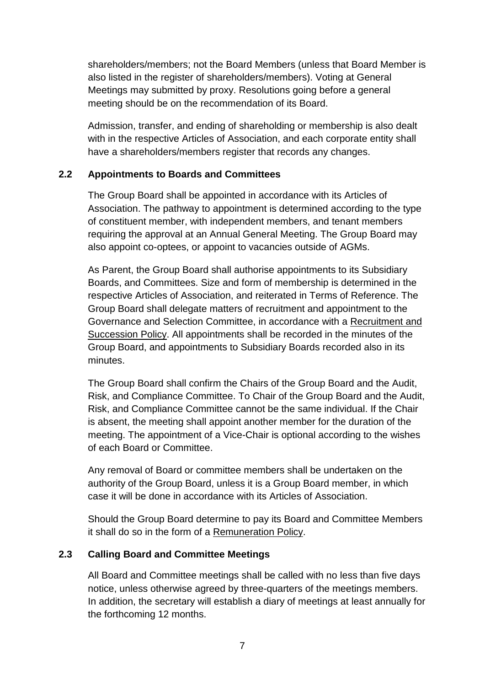shareholders/members; not the Board Members (unless that Board Member is also listed in the register of shareholders/members). Voting at General Meetings may submitted by proxy. Resolutions going before a general meeting should be on the recommendation of its Board.

Admission, transfer, and ending of shareholding or membership is also dealt with in the respective Articles of Association, and each corporate entity shall have a shareholders/members register that records any changes.

## <span id="page-6-0"></span>**2.2 Appointments to Boards and Committees**

The Group Board shall be appointed in accordance with its Articles of Association. The pathway to appointment is determined according to the type of constituent member, with independent members, and tenant members requiring the approval at an Annual General Meeting. The Group Board may also appoint co-optees, or appoint to vacancies outside of AGMs.

As Parent, the Group Board shall authorise appointments to its Subsidiary Boards, and Committees. Size and form of membership is determined in the respective Articles of Association, and reiterated in Terms of Reference. The Group Board shall delegate matters of recruitment and appointment to the Governance and Selection Committee, in accordance with a Recruitment and Succession Policy. All appointments shall be recorded in the minutes of the Group Board, and appointments to Subsidiary Boards recorded also in its minutes.

The Group Board shall confirm the Chairs of the Group Board and the Audit, Risk, and Compliance Committee. To Chair of the Group Board and the Audit, Risk, and Compliance Committee cannot be the same individual. If the Chair is absent, the meeting shall appoint another member for the duration of the meeting. The appointment of a Vice-Chair is optional according to the wishes of each Board or Committee.

Any removal of Board or committee members shall be undertaken on the authority of the Group Board, unless it is a Group Board member, in which case it will be done in accordance with its Articles of Association.

Should the Group Board determine to pay its Board and Committee Members it shall do so in the form of a Remuneration Policy.

## <span id="page-6-1"></span>**2.3 Calling Board and Committee Meetings**

All Board and Committee meetings shall be called with no less than five days notice, unless otherwise agreed by three-quarters of the meetings members. In addition, the secretary will establish a diary of meetings at least annually for the forthcoming 12 months.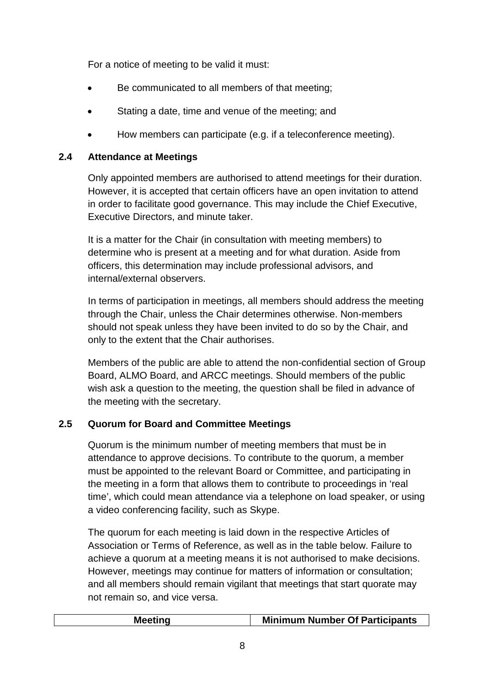For a notice of meeting to be valid it must:

- Be communicated to all members of that meeting;
- Stating a date, time and venue of the meeting; and
- How members can participate (e.g. if a teleconference meeting).

# <span id="page-7-0"></span>**2.4 Attendance at Meetings**

Only appointed members are authorised to attend meetings for their duration. However, it is accepted that certain officers have an open invitation to attend in order to facilitate good governance. This may include the Chief Executive, Executive Directors, and minute taker.

It is a matter for the Chair (in consultation with meeting members) to determine who is present at a meeting and for what duration. Aside from officers, this determination may include professional advisors, and internal/external observers.

In terms of participation in meetings, all members should address the meeting through the Chair, unless the Chair determines otherwise. Non-members should not speak unless they have been invited to do so by the Chair, and only to the extent that the Chair authorises.

Members of the public are able to attend the non-confidential section of Group Board, ALMO Board, and ARCC meetings. Should members of the public wish ask a question to the meeting, the question shall be filed in advance of the meeting with the secretary.

# <span id="page-7-1"></span>**2.5 Quorum for Board and Committee Meetings**

Quorum is the minimum number of meeting members that must be in attendance to approve decisions. To contribute to the quorum, a member must be appointed to the relevant Board or Committee, and participating in the meeting in a form that allows them to contribute to proceedings in 'real time', which could mean attendance via a telephone on load speaker, or using a video conferencing facility, such as Skype.

The quorum for each meeting is laid down in the respective Articles of Association or Terms of Reference, as well as in the table below. Failure to achieve a quorum at a meeting means it is not authorised to make decisions. However, meetings may continue for matters of information or consultation; and all members should remain vigilant that meetings that start quorate may not remain so, and vice versa.

| <b>Minimum Number Of Participants</b><br><b>Meeting</b> |
|---------------------------------------------------------|
|---------------------------------------------------------|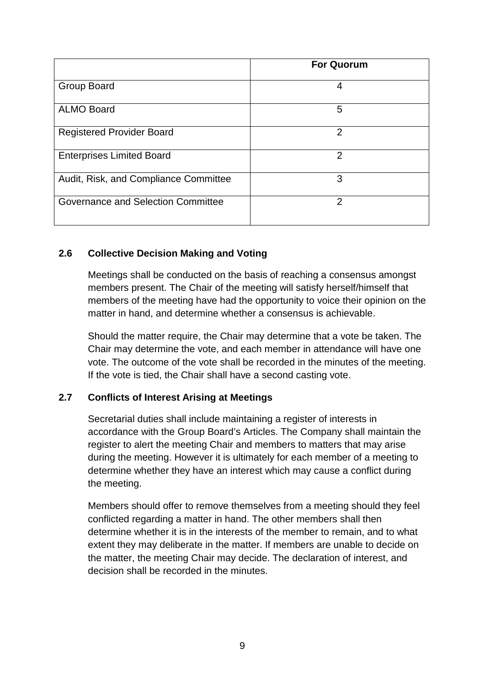|                                       | <b>For Quorum</b> |
|---------------------------------------|-------------------|
| Group Board                           | 4                 |
| <b>ALMO Board</b>                     | 5                 |
| <b>Registered Provider Board</b>      | $\overline{2}$    |
| <b>Enterprises Limited Board</b>      | $\overline{2}$    |
| Audit, Risk, and Compliance Committee | 3                 |
| Governance and Selection Committee    | $\overline{2}$    |

# <span id="page-8-0"></span>**2.6 Collective Decision Making and Voting**

Meetings shall be conducted on the basis of reaching a consensus amongst members present. The Chair of the meeting will satisfy herself/himself that members of the meeting have had the opportunity to voice their opinion on the matter in hand, and determine whether a consensus is achievable.

Should the matter require, the Chair may determine that a vote be taken. The Chair may determine the vote, and each member in attendance will have one vote. The outcome of the vote shall be recorded in the minutes of the meeting. If the vote is tied, the Chair shall have a second casting vote.

## <span id="page-8-1"></span>**2.7 Conflicts of Interest Arising at Meetings**

Secretarial duties shall include maintaining a register of interests in accordance with the Group Board's Articles. The Company shall maintain the register to alert the meeting Chair and members to matters that may arise during the meeting. However it is ultimately for each member of a meeting to determine whether they have an interest which may cause a conflict during the meeting.

Members should offer to remove themselves from a meeting should they feel conflicted regarding a matter in hand. The other members shall then determine whether it is in the interests of the member to remain, and to what extent they may deliberate in the matter. If members are unable to decide on the matter, the meeting Chair may decide. The declaration of interest, and decision shall be recorded in the minutes.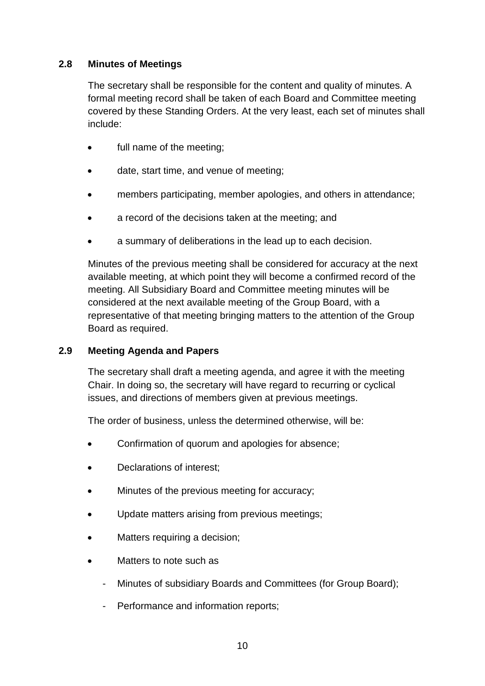# <span id="page-9-0"></span>**2.8 Minutes of Meetings**

The secretary shall be responsible for the content and quality of minutes. A formal meeting record shall be taken of each Board and Committee meeting covered by these Standing Orders. At the very least, each set of minutes shall include:

- full name of the meeting;
- date, start time, and venue of meeting;
- members participating, member apologies, and others in attendance;
- a record of the decisions taken at the meeting; and
- a summary of deliberations in the lead up to each decision.

Minutes of the previous meeting shall be considered for accuracy at the next available meeting, at which point they will become a confirmed record of the meeting. All Subsidiary Board and Committee meeting minutes will be considered at the next available meeting of the Group Board, with a representative of that meeting bringing matters to the attention of the Group Board as required.

## <span id="page-9-1"></span>**2.9 Meeting Agenda and Papers**

The secretary shall draft a meeting agenda, and agree it with the meeting Chair. In doing so, the secretary will have regard to recurring or cyclical issues, and directions of members given at previous meetings.

The order of business, unless the determined otherwise, will be:

- Confirmation of quorum and apologies for absence;
- Declarations of interest;
- Minutes of the previous meeting for accuracy;
- Update matters arising from previous meetings;
- Matters requiring a decision;
- Matters to note such as
	- Minutes of subsidiary Boards and Committees (for Group Board);
	- Performance and information reports;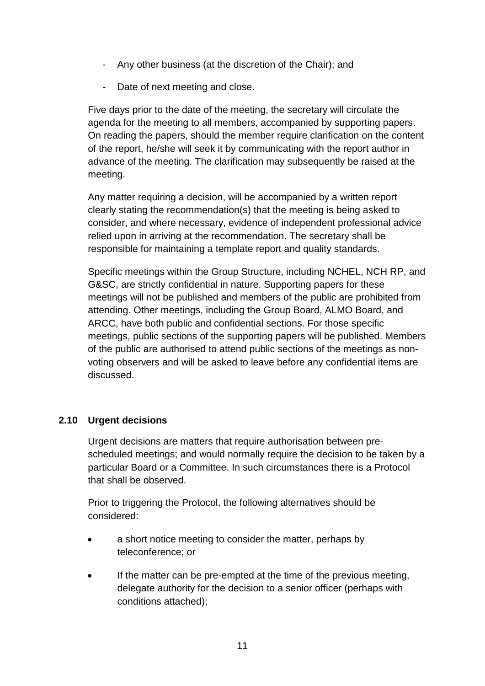- Any other business (at the discretion of the Chair); and
- Date of next meeting and close.

Five days prior to the date of the meeting, the secretary will circulate the agenda for the meeting to all members, accompanied by supporting papers. On reading the papers, should the member require clarification on the content of the report, he/she will seek it by communicating with the report author in advance of the meeting. The clarification may subsequently be raised at the meeting.

Any matter requiring a decision, will be accompanied by a written report clearly stating the recommendation(s) that the meeting is being asked to consider, and where necessary, evidence of independent professional advice relied upon in arriving at the recommendation. The secretary shall be responsible for maintaining a template report and quality standards.

Specific meetings within the Group Structure, including NCHEL, NCH RP, and G&SC, are strictly confidential in nature. Supporting papers for these meetings will not be published and members of the public are prohibited from attending. Other meetings, including the Group Board, ALMO Board, and ARCC, have both public and confidential sections. For those specific meetings, public sections of the supporting papers will be published. Members of the public are authorised to attend public sections of the meetings as nonvoting observers and will be asked to leave before any confidential items are discussed.

## <span id="page-10-0"></span>**2.10 Urgent decisions**

Urgent decisions are matters that require authorisation between prescheduled meetings; and would normally require the decision to be taken by a particular Board or a Committee. In such circumstances there is a Protocol that shall be observed.

Prior to triggering the Protocol, the following alternatives should be considered:

- a short notice meeting to consider the matter, perhaps by teleconference; or
- If the matter can be pre-empted at the time of the previous meeting, delegate authority for the decision to a senior officer (perhaps with conditions attached);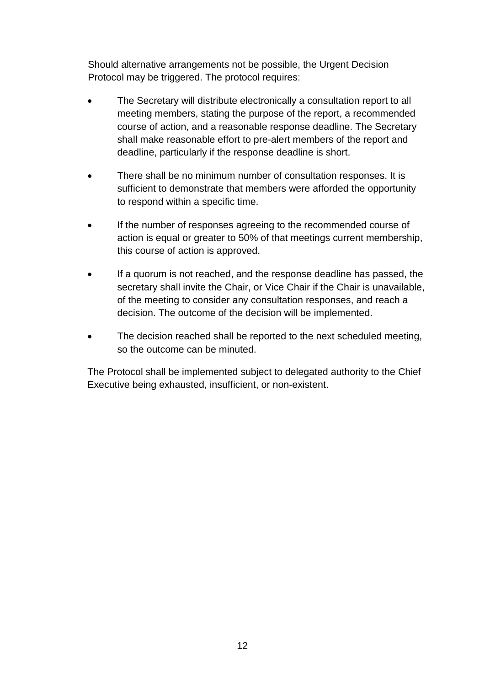Should alternative arrangements not be possible, the Urgent Decision Protocol may be triggered. The protocol requires:

- The Secretary will distribute electronically a consultation report to all meeting members, stating the purpose of the report, a recommended course of action, and a reasonable response deadline. The Secretary shall make reasonable effort to pre-alert members of the report and deadline, particularly if the response deadline is short.
- There shall be no minimum number of consultation responses. It is sufficient to demonstrate that members were afforded the opportunity to respond within a specific time.
- If the number of responses agreeing to the recommended course of action is equal or greater to 50% of that meetings current membership, this course of action is approved.
- If a quorum is not reached, and the response deadline has passed, the secretary shall invite the Chair, or Vice Chair if the Chair is unavailable, of the meeting to consider any consultation responses, and reach a decision. The outcome of the decision will be implemented.
- The decision reached shall be reported to the next scheduled meeting, so the outcome can be minuted.

The Protocol shall be implemented subject to delegated authority to the Chief Executive being exhausted, insufficient, or non-existent.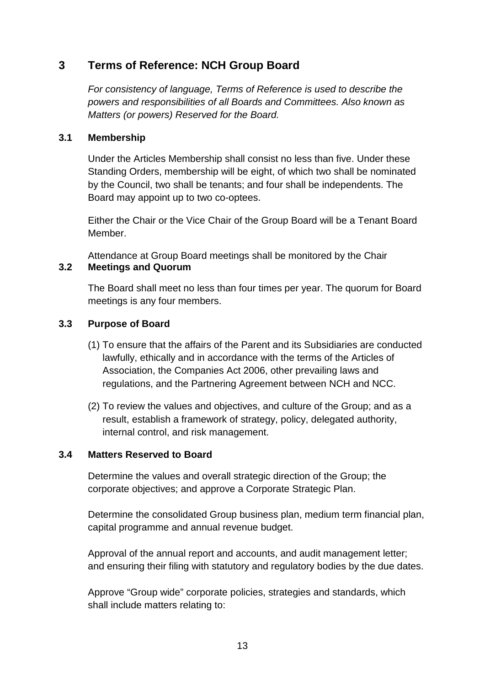# <span id="page-12-0"></span>**3 Terms of Reference: NCH Group Board**

*For consistency of language, Terms of Reference is used to describe the powers and responsibilities of all Boards and Committees. Also known as Matters (or powers) Reserved for the Board.*

## <span id="page-12-1"></span>**3.1 Membership**

Under the Articles Membership shall consist no less than five. Under these Standing Orders, membership will be eight, of which two shall be nominated by the Council, two shall be tenants; and four shall be independents. The Board may appoint up to two co-optees.

Either the Chair or the Vice Chair of the Group Board will be a Tenant Board Member.

<span id="page-12-2"></span>Attendance at Group Board meetings shall be monitored by the Chair **3.2 Meetings and Quorum**

The Board shall meet no less than four times per year. The quorum for Board meetings is any four members.

## <span id="page-12-3"></span>**3.3 Purpose of Board**

- (1) To ensure that the affairs of the Parent and its Subsidiaries are conducted lawfully, ethically and in accordance with the terms of the Articles of Association, the Companies Act 2006, other prevailing laws and regulations, and the Partnering Agreement between NCH and NCC.
- (2) To review the values and objectives, and culture of the Group; and as a result, establish a framework of strategy, policy, delegated authority, internal control, and risk management.

#### <span id="page-12-4"></span>**3.4 Matters Reserved to Board**

Determine the values and overall strategic direction of the Group; the corporate objectives; and approve a Corporate Strategic Plan.

Determine the consolidated Group business plan, medium term financial plan, capital programme and annual revenue budget.

Approval of the annual report and accounts, and audit management letter; and ensuring their filing with statutory and regulatory bodies by the due dates.

Approve "Group wide" corporate policies, strategies and standards, which shall include matters relating to: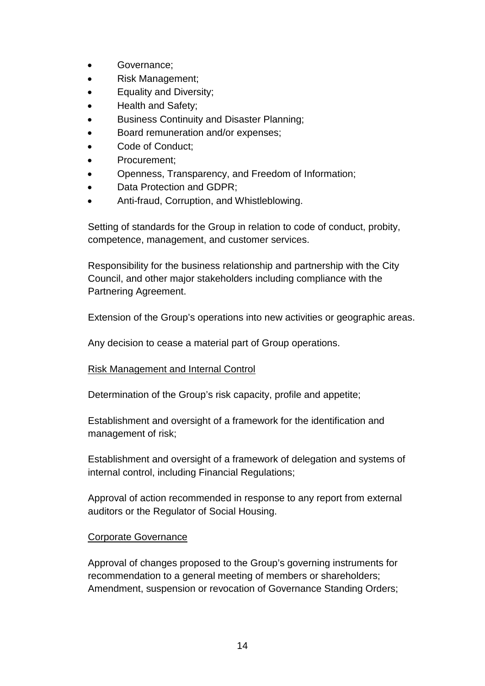- Governance;
- Risk Management;
- Equality and Diversity;
- Health and Safety;
- Business Continuity and Disaster Planning;
- Board remuneration and/or expenses;
- Code of Conduct:
- Procurement;
- Openness, Transparency, and Freedom of Information;
- Data Protection and GDPR;
- Anti-fraud, Corruption, and Whistleblowing.

Setting of standards for the Group in relation to code of conduct, probity, competence, management, and customer services.

Responsibility for the business relationship and partnership with the City Council, and other major stakeholders including compliance with the Partnering Agreement.

Extension of the Group's operations into new activities or geographic areas.

Any decision to cease a material part of Group operations.

#### Risk Management and Internal Control

Determination of the Group's risk capacity, profile and appetite;

Establishment and oversight of a framework for the identification and management of risk;

Establishment and oversight of a framework of delegation and systems of internal control, including Financial Regulations;

Approval of action recommended in response to any report from external auditors or the Regulator of Social Housing.

## Corporate Governance

Approval of changes proposed to the Group's governing instruments for recommendation to a general meeting of members or shareholders; Amendment, suspension or revocation of Governance Standing Orders;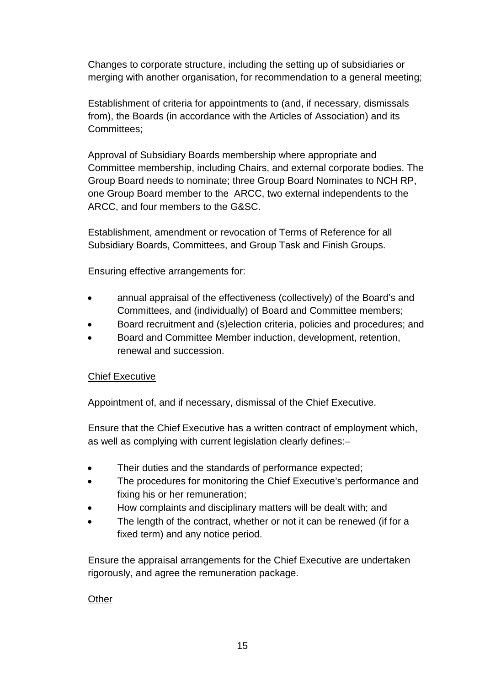Changes to corporate structure, including the setting up of subsidiaries or merging with another organisation, for recommendation to a general meeting;

Establishment of criteria for appointments to (and, if necessary, dismissals from), the Boards (in accordance with the Articles of Association) and its Committees;

Approval of Subsidiary Boards membership where appropriate and Committee membership, including Chairs, and external corporate bodies. The Group Board needs to nominate; three Group Board Nominates to NCH RP, one Group Board member to the ARCC, two external independents to the ARCC, and four members to the G&SC.

Establishment, amendment or revocation of Terms of Reference for all Subsidiary Boards, Committees, and Group Task and Finish Groups.

Ensuring effective arrangements for:

- annual appraisal of the effectiveness (collectively) of the Board's and Committees, and (individually) of Board and Committee members;
- Board recruitment and (s)election criteria, policies and procedures; and
- Board and Committee Member induction, development, retention, renewal and succession.

## Chief Executive

Appointment of, and if necessary, dismissal of the Chief Executive.

Ensure that the Chief Executive has a written contract of employment which, as well as complying with current legislation clearly defines:–

- Their duties and the standards of performance expected;
- The procedures for monitoring the Chief Executive's performance and fixing his or her remuneration;
- How complaints and disciplinary matters will be dealt with; and
- The length of the contract, whether or not it can be renewed (if for a fixed term) and any notice period.

Ensure the appraisal arrangements for the Chief Executive are undertaken rigorously, and agree the remuneration package.

**Other**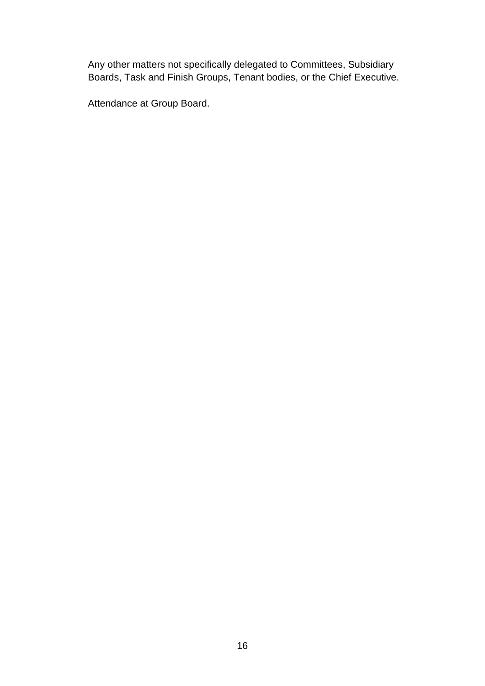Any other matters not specifically delegated to Committees, Subsidiary Boards, Task and Finish Groups, Tenant bodies, or the Chief Executive.

Attendance at Group Board.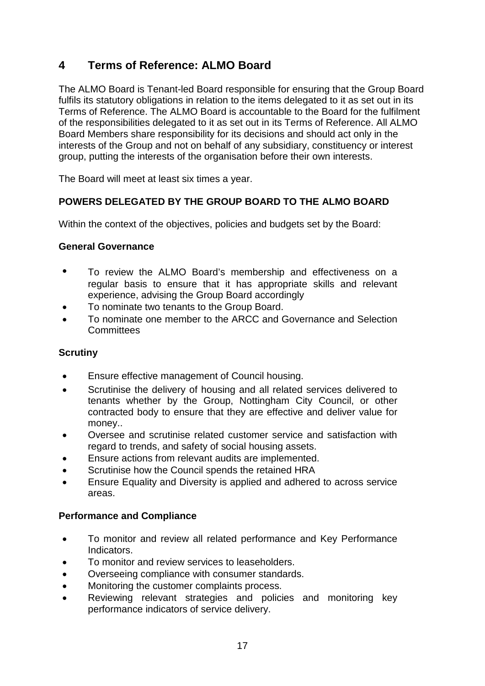# <span id="page-16-0"></span>**4 Terms of Reference: ALMO Board**

The ALMO Board is Tenant-led Board responsible for ensuring that the Group Board fulfils its statutory obligations in relation to the items delegated to it as set out in its Terms of Reference. The ALMO Board is accountable to the Board for the fulfilment of the responsibilities delegated to it as set out in its Terms of Reference. All ALMO Board Members share responsibility for its decisions and should act only in the interests of the Group and not on behalf of any subsidiary, constituency or interest group, putting the interests of the organisation before their own interests.

The Board will meet at least six times a year.

## **POWERS DELEGATED BY THE GROUP BOARD TO THE ALMO BOARD**

Within the context of the objectives, policies and budgets set by the Board:

#### **General Governance**

- To review the ALMO Board's membership and effectiveness on a regular basis to ensure that it has appropriate skills and relevant experience, advising the Group Board accordingly
- To nominate two tenants to the Group Board.
- To nominate one member to the ARCC and Governance and Selection **Committees**

#### **Scrutiny**

- Ensure effective management of Council housing.
- Scrutinise the delivery of housing and all related services delivered to tenants whether by the Group, Nottingham City Council, or other contracted body to ensure that they are effective and deliver value for money..
- Oversee and scrutinise related customer service and satisfaction with regard to trends, and safety of social housing assets.
- Ensure actions from relevant audits are implemented.
- Scrutinise how the Council spends the retained HRA
- Ensure Equality and Diversity is applied and adhered to across service areas.

#### **Performance and Compliance**

- To monitor and review all related performance and Key Performance Indicators.
- To monitor and review services to leaseholders.
- Overseeing compliance with consumer standards.
- Monitoring the customer complaints process.
- Reviewing relevant strategies and policies and monitoring key performance indicators of service delivery.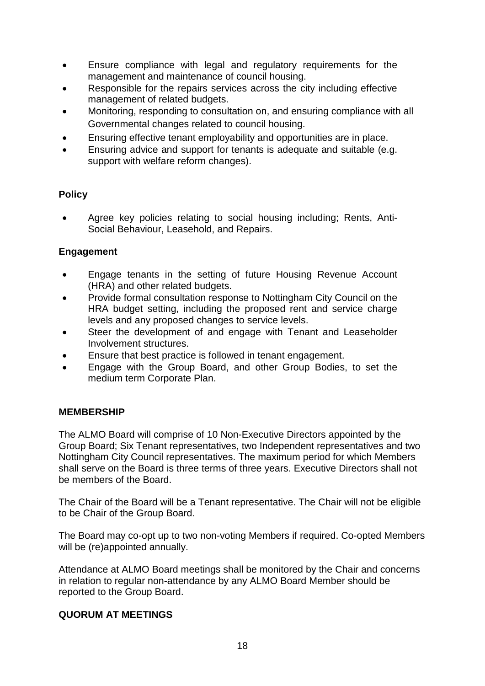- Ensure compliance with legal and regulatory requirements for the management and maintenance of council housing.
- Responsible for the repairs services across the city including effective management of related budgets.
- Monitoring, responding to consultation on, and ensuring compliance with all Governmental changes related to council housing.
- Ensuring effective tenant employability and opportunities are in place.
- Ensuring advice and support for tenants is adequate and suitable (e.g. support with welfare reform changes).

# **Policy**

• Agree key policies relating to social housing including; Rents, Anti-Social Behaviour, Leasehold, and Repairs.

## **Engagement**

- Engage tenants in the setting of future Housing Revenue Account (HRA) and other related budgets.
- Provide formal consultation response to Nottingham City Council on the HRA budget setting, including the proposed rent and service charge levels and any proposed changes to service levels.
- Steer the development of and engage with Tenant and Leaseholder Involvement structures.
- Ensure that best practice is followed in tenant engagement.
- Engage with the Group Board, and other Group Bodies, to set the medium term Corporate Plan.

#### **MEMBERSHIP**

The ALMO Board will comprise of 10 Non-Executive Directors appointed by the Group Board; Six Tenant representatives, two Independent representatives and two Nottingham City Council representatives. The maximum period for which Members shall serve on the Board is three terms of three years. Executive Directors shall not be members of the Board.

The Chair of the Board will be a Tenant representative. The Chair will not be eligible to be Chair of the Group Board.

The Board may co-opt up to two non-voting Members if required. Co-opted Members will be (re)appointed annually.

Attendance at ALMO Board meetings shall be monitored by the Chair and concerns in relation to regular non-attendance by any ALMO Board Member should be reported to the Group Board.

#### **QUORUM AT MEETINGS**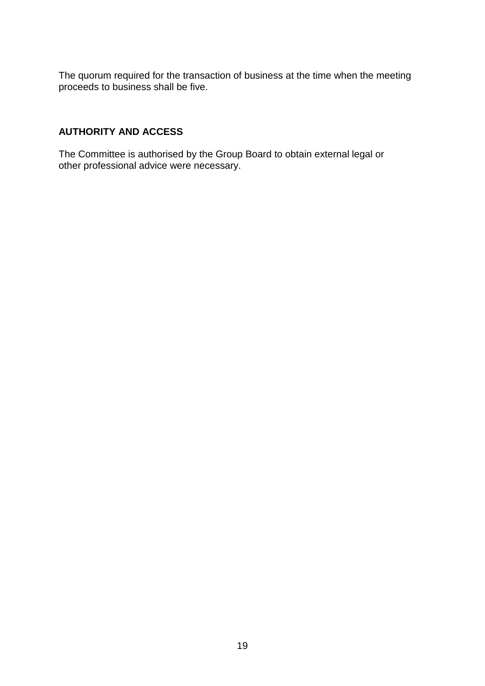The quorum required for the transaction of business at the time when the meeting proceeds to business shall be five.

## **AUTHORITY AND ACCESS**

The Committee is authorised by the Group Board to obtain external legal or other professional advice were necessary.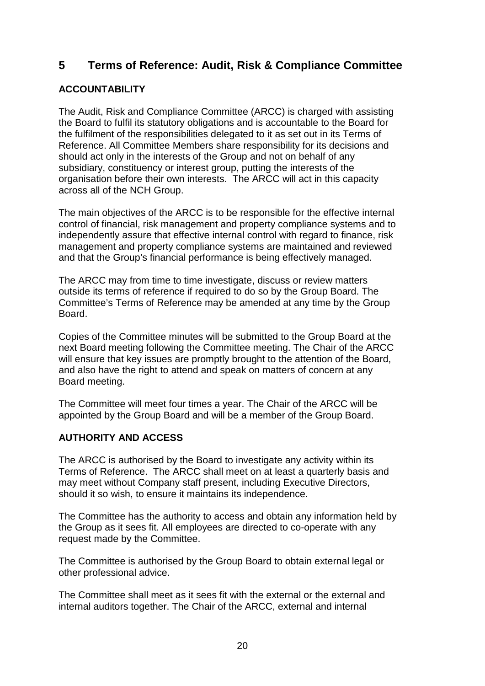# <span id="page-19-0"></span>**5 Terms of Reference: Audit, Risk & Compliance Committee**

# **ACCOUNTABILITY**

The Audit, Risk and Compliance Committee (ARCC) is charged with assisting the Board to fulfil its statutory obligations and is accountable to the Board for the fulfilment of the responsibilities delegated to it as set out in its Terms of Reference. All Committee Members share responsibility for its decisions and should act only in the interests of the Group and not on behalf of any subsidiary, constituency or interest group, putting the interests of the organisation before their own interests. The ARCC will act in this capacity across all of the NCH Group.

The main objectives of the ARCC is to be responsible for the effective internal control of financial, risk management and property compliance systems and to independently assure that effective internal control with regard to finance, risk management and property compliance systems are maintained and reviewed and that the Group's financial performance is being effectively managed.

The ARCC may from time to time investigate, discuss or review matters outside its terms of reference if required to do so by the Group Board. The Committee's Terms of Reference may be amended at any time by the Group Board.

Copies of the Committee minutes will be submitted to the Group Board at the next Board meeting following the Committee meeting. The Chair of the ARCC will ensure that key issues are promptly brought to the attention of the Board, and also have the right to attend and speak on matters of concern at any Board meeting.

The Committee will meet four times a year. The Chair of the ARCC will be appointed by the Group Board and will be a member of the Group Board.

# **AUTHORITY AND ACCESS**

The ARCC is authorised by the Board to investigate any activity within its Terms of Reference. The ARCC shall meet on at least a quarterly basis and may meet without Company staff present, including Executive Directors, should it so wish, to ensure it maintains its independence.

The Committee has the authority to access and obtain any information held by the Group as it sees fit. All employees are directed to co-operate with any request made by the Committee.

The Committee is authorised by the Group Board to obtain external legal or other professional advice.

The Committee shall meet as it sees fit with the external or the external and internal auditors together. The Chair of the ARCC, external and internal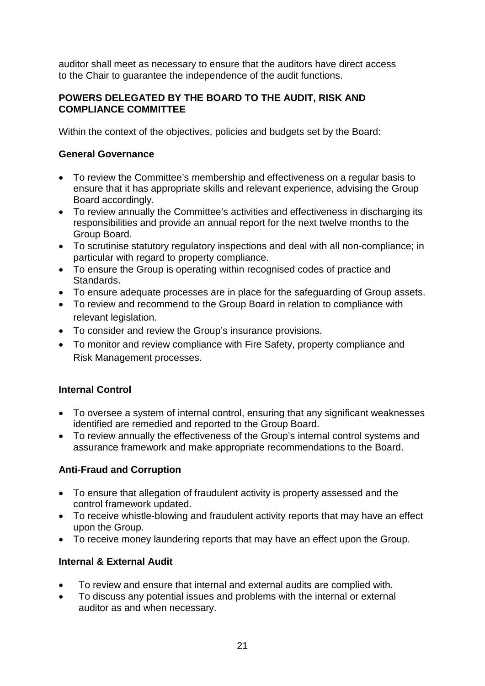auditor shall meet as necessary to ensure that the auditors have direct access to the Chair to guarantee the independence of the audit functions.

## **POWERS DELEGATED BY THE BOARD TO THE AUDIT, RISK AND COMPLIANCE COMMITTEE**

Within the context of the objectives, policies and budgets set by the Board:

# **General Governance**

- To review the Committee's membership and effectiveness on a regular basis to ensure that it has appropriate skills and relevant experience, advising the Group Board accordingly.
- To review annually the Committee's activities and effectiveness in discharging its responsibilities and provide an annual report for the next twelve months to the Group Board.
- To scrutinise statutory regulatory inspections and deal with all non-compliance; in particular with regard to property compliance.
- To ensure the Group is operating within recognised codes of practice and Standards.
- To ensure adequate processes are in place for the safeguarding of Group assets.
- To review and recommend to the Group Board in relation to compliance with relevant legislation.
- To consider and review the Group's insurance provisions.
- To monitor and review compliance with Fire Safety, property compliance and Risk Management processes.

# **Internal Control**

- To oversee a system of internal control, ensuring that any significant weaknesses identified are remedied and reported to the Group Board.
- To review annually the effectiveness of the Group's internal control systems and assurance framework and make appropriate recommendations to the Board.

# **Anti-Fraud and Corruption**

- To ensure that allegation of fraudulent activity is property assessed and the control framework updated.
- To receive whistle-blowing and fraudulent activity reports that may have an effect upon the Group.
- To receive money laundering reports that may have an effect upon the Group.

# **Internal & External Audit**

- To review and ensure that internal and external audits are complied with.
- To discuss any potential issues and problems with the internal or external auditor as and when necessary.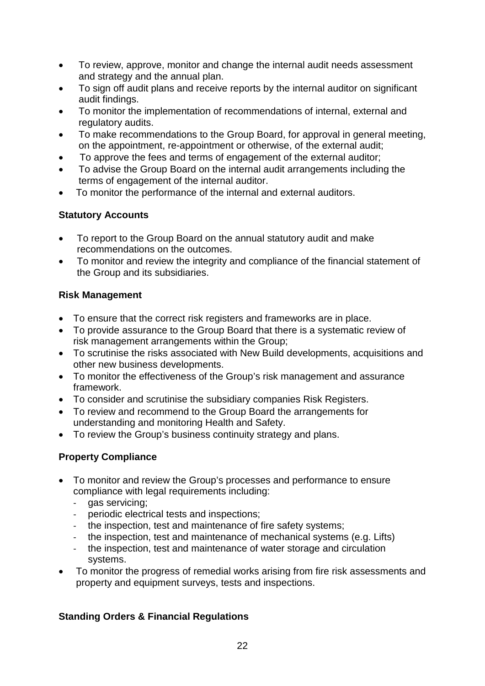- To review, approve, monitor and change the internal audit needs assessment and strategy and the annual plan.
- To sign off audit plans and receive reports by the internal auditor on significant audit findings.
- To monitor the implementation of recommendations of internal, external and regulatory audits.
- To make recommendations to the Group Board, for approval in general meeting, on the appointment, re-appointment or otherwise, of the external audit;
- To approve the fees and terms of engagement of the external auditor;
- To advise the Group Board on the internal audit arrangements including the terms of engagement of the internal auditor.
- To monitor the performance of the internal and external auditors.

# **Statutory Accounts**

- To report to the Group Board on the annual statutory audit and make recommendations on the outcomes.
- To monitor and review the integrity and compliance of the financial statement of the Group and its subsidiaries.

# **Risk Management**

- To ensure that the correct risk registers and frameworks are in place.
- To provide assurance to the Group Board that there is a systematic review of risk management arrangements within the Group;
- To scrutinise the risks associated with New Build developments, acquisitions and other new business developments.
- To monitor the effectiveness of the Group's risk management and assurance framework.
- To consider and scrutinise the subsidiary companies Risk Registers.
- To review and recommend to the Group Board the arrangements for understanding and monitoring Health and Safety.
- To review the Group's business continuity strategy and plans.

# **Property Compliance**

- To monitor and review the Group's processes and performance to ensure compliance with legal requirements including:
	- gas servicing;
	- periodic electrical tests and inspections;
	- the inspection, test and maintenance of fire safety systems;
	- the inspection, test and maintenance of mechanical systems (e.g. Lifts)
	- the inspection, test and maintenance of water storage and circulation systems.
- To monitor the progress of remedial works arising from fire risk assessments and property and equipment surveys, tests and inspections.

# **Standing Orders & Financial Regulations**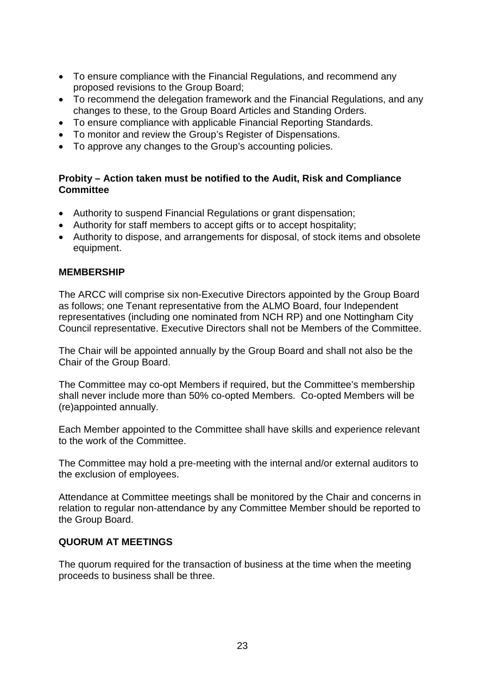- To ensure compliance with the Financial Regulations, and recommend any proposed revisions to the Group Board;
- To recommend the delegation framework and the Financial Regulations, and any changes to these, to the Group Board Articles and Standing Orders.
- To ensure compliance with applicable Financial Reporting Standards.
- To monitor and review the Group's Register of Dispensations.
- To approve any changes to the Group's accounting policies.

## **Probity – Action taken must be notified to the Audit, Risk and Compliance Committee**

- Authority to suspend Financial Regulations or grant dispensation;
- Authority for staff members to accept gifts or to accept hospitality;
- Authority to dispose, and arrangements for disposal, of stock items and obsolete equipment.

#### **MEMBERSHIP**

The ARCC will comprise six non-Executive Directors appointed by the Group Board as follows; one Tenant representative from the ALMO Board, four Independent representatives (including one nominated from NCH RP) and one Nottingham City Council representative. Executive Directors shall not be Members of the Committee.

The Chair will be appointed annually by the Group Board and shall not also be the Chair of the Group Board.

The Committee may co-opt Members if required, but the Committee's membership shall never include more than 50% co-opted Members. Co-opted Members will be (re)appointed annually.

Each Member appointed to the Committee shall have skills and experience relevant to the work of the Committee.

The Committee may hold a pre-meeting with the internal and/or external auditors to the exclusion of employees.

Attendance at Committee meetings shall be monitored by the Chair and concerns in relation to regular non-attendance by any Committee Member should be reported to the Group Board.

## **QUORUM AT MEETINGS**

The quorum required for the transaction of business at the time when the meeting proceeds to business shall be three.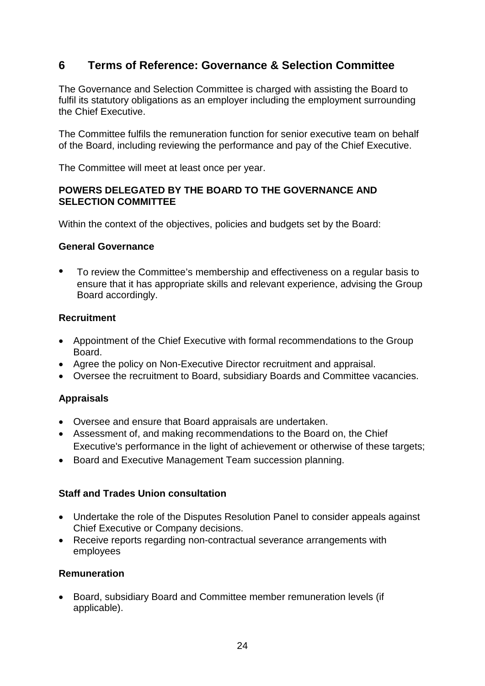# <span id="page-23-0"></span>**6 Terms of Reference: Governance & Selection Committee**

The Governance and Selection Committee is charged with assisting the Board to fulfil its statutory obligations as an employer including the employment surrounding the Chief Executive.

The Committee fulfils the remuneration function for senior executive team on behalf of the Board, including reviewing the performance and pay of the Chief Executive.

The Committee will meet at least once per year.

## **POWERS DELEGATED BY THE BOARD TO THE GOVERNANCE AND SELECTION COMMITTEE**

Within the context of the objectives, policies and budgets set by the Board:

## **General Governance**

• To review the Committee's membership and effectiveness on a regular basis to ensure that it has appropriate skills and relevant experience, advising the Group Board accordingly.

## **Recruitment**

- Appointment of the Chief Executive with formal recommendations to the Group Board.
- Agree the policy on Non-Executive Director recruitment and appraisal.
- Oversee the recruitment to Board, subsidiary Boards and Committee vacancies.

## **Appraisals**

- Oversee and ensure that Board appraisals are undertaken.
- Assessment of, and making recommendations to the Board on, the Chief Executive's performance in the light of achievement or otherwise of these targets;
- Board and Executive Management Team succession planning.

## **Staff and Trades Union consultation**

- Undertake the role of the Disputes Resolution Panel to consider appeals against Chief Executive or Company decisions.
- Receive reports regarding non-contractual severance arrangements with employees

## **Remuneration**

• Board, subsidiary Board and Committee member remuneration levels (if applicable).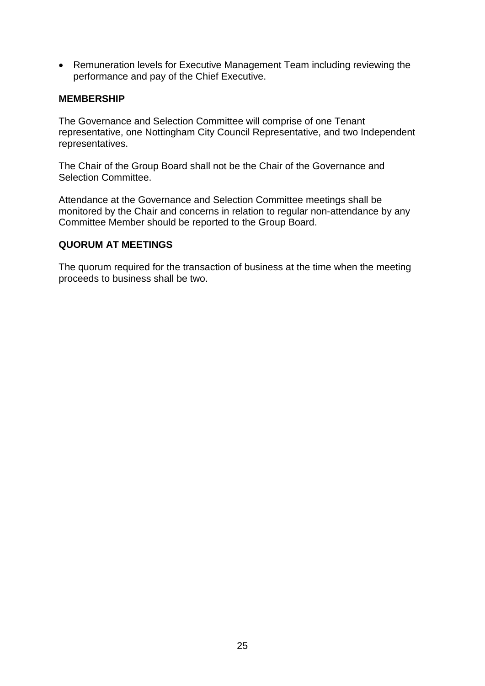• Remuneration levels for Executive Management Team including reviewing the performance and pay of the Chief Executive.

#### **MEMBERSHIP**

The Governance and Selection Committee will comprise of one Tenant representative, one Nottingham City Council Representative, and two Independent representatives.

The Chair of the Group Board shall not be the Chair of the Governance and Selection Committee.

Attendance at the Governance and Selection Committee meetings shall be monitored by the Chair and concerns in relation to regular non-attendance by any Committee Member should be reported to the Group Board.

#### **QUORUM AT MEETINGS**

The quorum required for the transaction of business at the time when the meeting proceeds to business shall be two.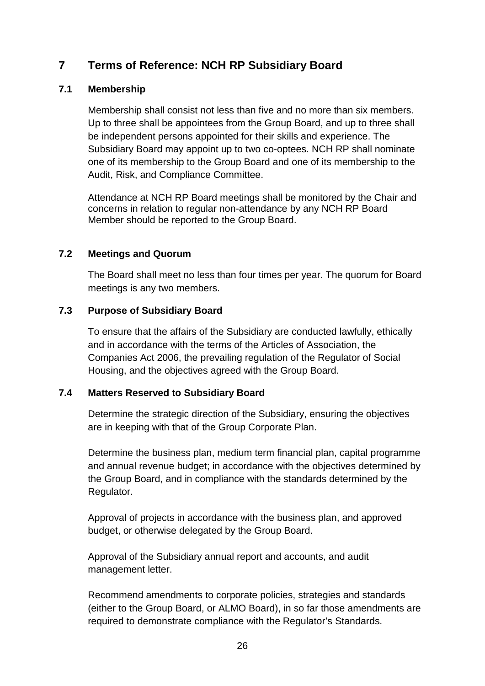# <span id="page-25-0"></span>**7 Terms of Reference: NCH RP Subsidiary Board**

## <span id="page-25-1"></span>**7.1 Membership**

Membership shall consist not less than five and no more than six members. Up to three shall be appointees from the Group Board, and up to three shall be independent persons appointed for their skills and experience. The Subsidiary Board may appoint up to two co-optees. NCH RP shall nominate one of its membership to the Group Board and one of its membership to the Audit, Risk, and Compliance Committee.

Attendance at NCH RP Board meetings shall be monitored by the Chair and concerns in relation to regular non-attendance by any NCH RP Board Member should be reported to the Group Board.

## <span id="page-25-2"></span>**7.2 Meetings and Quorum**

The Board shall meet no less than four times per year. The quorum for Board meetings is any two members.

## <span id="page-25-3"></span>**7.3 Purpose of Subsidiary Board**

To ensure that the affairs of the Subsidiary are conducted lawfully, ethically and in accordance with the terms of the Articles of Association, the Companies Act 2006, the prevailing regulation of the Regulator of Social Housing, and the objectives agreed with the Group Board.

## <span id="page-25-4"></span>**7.4 Matters Reserved to Subsidiary Board**

Determine the strategic direction of the Subsidiary, ensuring the objectives are in keeping with that of the Group Corporate Plan.

Determine the business plan, medium term financial plan, capital programme and annual revenue budget; in accordance with the objectives determined by the Group Board, and in compliance with the standards determined by the Regulator.

Approval of projects in accordance with the business plan, and approved budget, or otherwise delegated by the Group Board.

Approval of the Subsidiary annual report and accounts, and audit management letter.

Recommend amendments to corporate policies, strategies and standards (either to the Group Board, or ALMO Board), in so far those amendments are required to demonstrate compliance with the Regulator's Standards.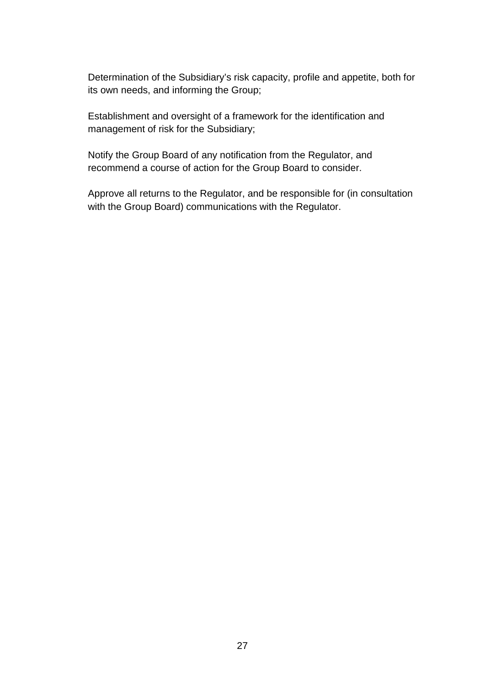Determination of the Subsidiary's risk capacity, profile and appetite, both for its own needs, and informing the Group;

Establishment and oversight of a framework for the identification and management of risk for the Subsidiary;

Notify the Group Board of any notification from the Regulator, and recommend a course of action for the Group Board to consider.

Approve all returns to the Regulator, and be responsible for (in consultation with the Group Board) communications with the Regulator.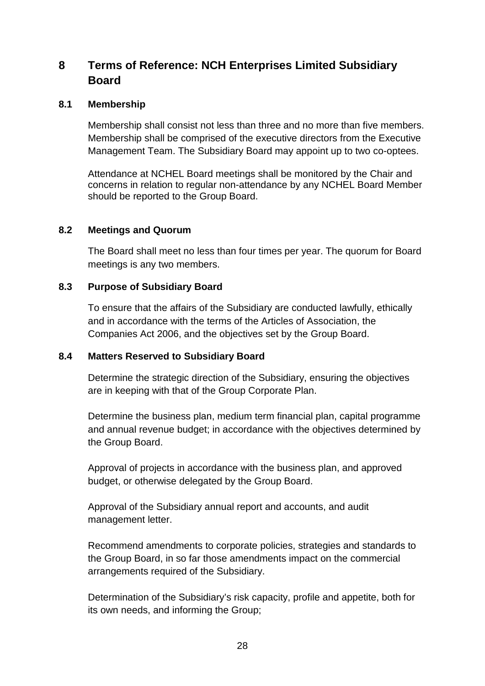# <span id="page-27-0"></span>**8 Terms of Reference: NCH Enterprises Limited Subsidiary Board**

## <span id="page-27-1"></span>**8.1 Membership**

Membership shall consist not less than three and no more than five members. Membership shall be comprised of the executive directors from the Executive Management Team. The Subsidiary Board may appoint up to two co-optees.

Attendance at NCHEL Board meetings shall be monitored by the Chair and concerns in relation to regular non-attendance by any NCHEL Board Member should be reported to the Group Board.

#### <span id="page-27-2"></span>**8.2 Meetings and Quorum**

The Board shall meet no less than four times per year. The quorum for Board meetings is any two members.

## <span id="page-27-3"></span>**8.3 Purpose of Subsidiary Board**

To ensure that the affairs of the Subsidiary are conducted lawfully, ethically and in accordance with the terms of the Articles of Association, the Companies Act 2006, and the objectives set by the Group Board.

#### <span id="page-27-4"></span>**8.4 Matters Reserved to Subsidiary Board**

Determine the strategic direction of the Subsidiary, ensuring the objectives are in keeping with that of the Group Corporate Plan.

Determine the business plan, medium term financial plan, capital programme and annual revenue budget; in accordance with the objectives determined by the Group Board.

Approval of projects in accordance with the business plan, and approved budget, or otherwise delegated by the Group Board.

Approval of the Subsidiary annual report and accounts, and audit management letter.

Recommend amendments to corporate policies, strategies and standards to the Group Board, in so far those amendments impact on the commercial arrangements required of the Subsidiary.

Determination of the Subsidiary's risk capacity, profile and appetite, both for its own needs, and informing the Group;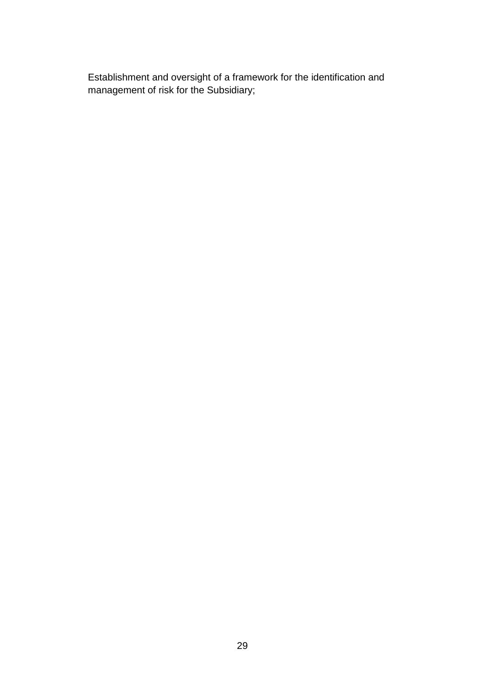Establishment and oversight of a framework for the identification and management of risk for the Subsidiary;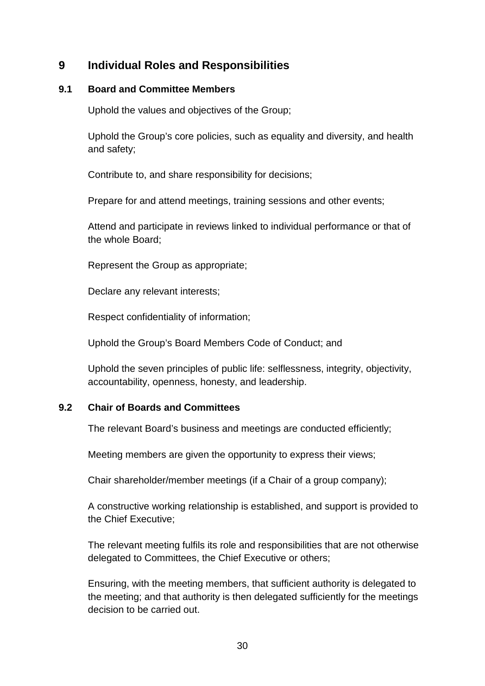# <span id="page-29-0"></span>**9 Individual Roles and Responsibilities**

## <span id="page-29-1"></span>**9.1 Board and Committee Members**

Uphold the values and objectives of the Group;

Uphold the Group's core policies, such as equality and diversity, and health and safety;

Contribute to, and share responsibility for decisions;

Prepare for and attend meetings, training sessions and other events;

Attend and participate in reviews linked to individual performance or that of the whole Board;

Represent the Group as appropriate;

Declare any relevant interests;

Respect confidentiality of information;

Uphold the Group's Board Members Code of Conduct; and

Uphold the seven principles of public life: selflessness, integrity, objectivity, accountability, openness, honesty, and leadership.

## <span id="page-29-2"></span>**9.2 Chair of Boards and Committees**

The relevant Board's business and meetings are conducted efficiently;

Meeting members are given the opportunity to express their views;

Chair shareholder/member meetings (if a Chair of a group company);

A constructive working relationship is established, and support is provided to the Chief Executive;

The relevant meeting fulfils its role and responsibilities that are not otherwise delegated to Committees, the Chief Executive or others;

Ensuring, with the meeting members, that sufficient authority is delegated to the meeting; and that authority is then delegated sufficiently for the meetings decision to be carried out.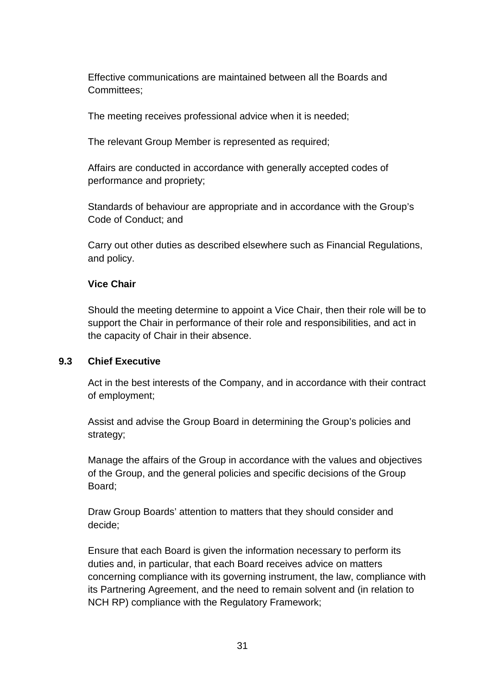Effective communications are maintained between all the Boards and Committees;

The meeting receives professional advice when it is needed;

The relevant Group Member is represented as required;

Affairs are conducted in accordance with generally accepted codes of performance and propriety;

Standards of behaviour are appropriate and in accordance with the Group's Code of Conduct; and

Carry out other duties as described elsewhere such as Financial Regulations, and policy.

## **Vice Chair**

Should the meeting determine to appoint a Vice Chair, then their role will be to support the Chair in performance of their role and responsibilities, and act in the capacity of Chair in their absence.

## <span id="page-30-0"></span>**9.3 Chief Executive**

Act in the best interests of the Company, and in accordance with their contract of employment;

Assist and advise the Group Board in determining the Group's policies and strategy;

Manage the affairs of the Group in accordance with the values and objectives of the Group, and the general policies and specific decisions of the Group Board;

Draw Group Boards' attention to matters that they should consider and decide;

Ensure that each Board is given the information necessary to perform its duties and, in particular, that each Board receives advice on matters concerning compliance with its governing instrument, the law, compliance with its Partnering Agreement, and the need to remain solvent and (in relation to NCH RP) compliance with the Regulatory Framework;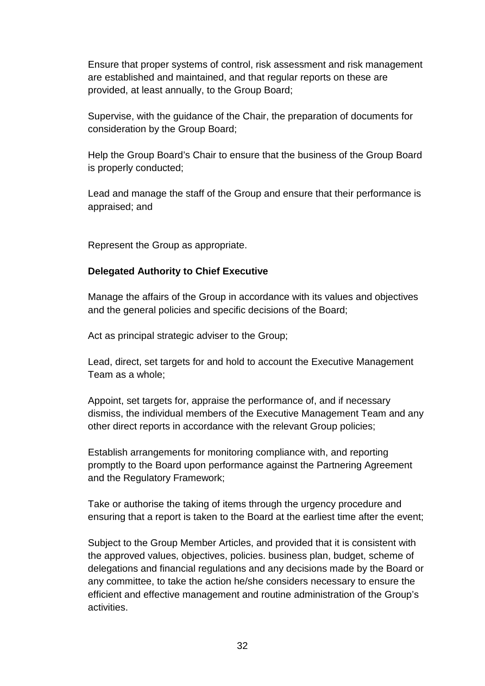Ensure that proper systems of control, risk assessment and risk management are established and maintained, and that regular reports on these are provided, at least annually, to the Group Board;

Supervise, with the guidance of the Chair, the preparation of documents for consideration by the Group Board;

Help the Group Board's Chair to ensure that the business of the Group Board is properly conducted;

Lead and manage the staff of the Group and ensure that their performance is appraised; and

Represent the Group as appropriate.

## **Delegated Authority to Chief Executive**

Manage the affairs of the Group in accordance with its values and objectives and the general policies and specific decisions of the Board;

Act as principal strategic adviser to the Group;

Lead, direct, set targets for and hold to account the Executive Management Team as a whole;

Appoint, set targets for, appraise the performance of, and if necessary dismiss, the individual members of the Executive Management Team and any other direct reports in accordance with the relevant Group policies;

Establish arrangements for monitoring compliance with, and reporting promptly to the Board upon performance against the Partnering Agreement and the Regulatory Framework;

Take or authorise the taking of items through the urgency procedure and ensuring that a report is taken to the Board at the earliest time after the event;

Subject to the Group Member Articles, and provided that it is consistent with the approved values, objectives, policies. business plan, budget, scheme of delegations and financial regulations and any decisions made by the Board or any committee, to take the action he/she considers necessary to ensure the efficient and effective management and routine administration of the Group's activities.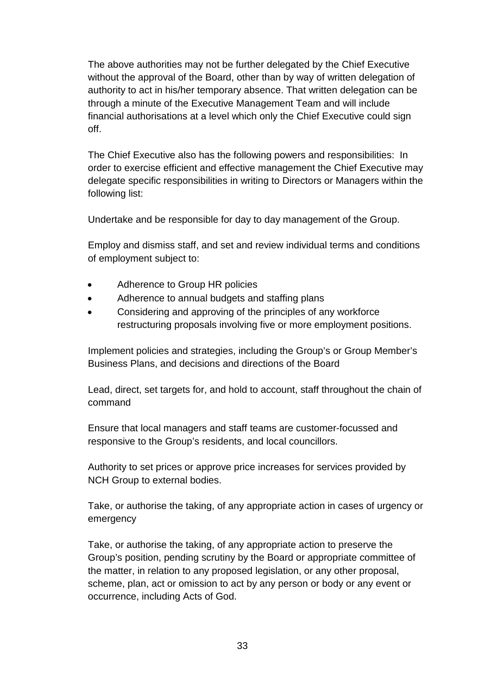The above authorities may not be further delegated by the Chief Executive without the approval of the Board, other than by way of written delegation of authority to act in his/her temporary absence. That written delegation can be through a minute of the Executive Management Team and will include financial authorisations at a level which only the Chief Executive could sign off.

The Chief Executive also has the following powers and responsibilities: In order to exercise efficient and effective management the Chief Executive may delegate specific responsibilities in writing to Directors or Managers within the following list:

Undertake and be responsible for day to day management of the Group.

Employ and dismiss staff, and set and review individual terms and conditions of employment subject to:

- Adherence to Group HR policies
- Adherence to annual budgets and staffing plans
- Considering and approving of the principles of any workforce restructuring proposals involving five or more employment positions.

Implement policies and strategies, including the Group's or Group Member's Business Plans, and decisions and directions of the Board

Lead, direct, set targets for, and hold to account, staff throughout the chain of command

Ensure that local managers and staff teams are customer-focussed and responsive to the Group's residents, and local councillors.

Authority to set prices or approve price increases for services provided by NCH Group to external bodies.

Take, or authorise the taking, of any appropriate action in cases of urgency or emergency

Take, or authorise the taking, of any appropriate action to preserve the Group's position, pending scrutiny by the Board or appropriate committee of the matter, in relation to any proposed legislation, or any other proposal, scheme, plan, act or omission to act by any person or body or any event or occurrence, including Acts of God.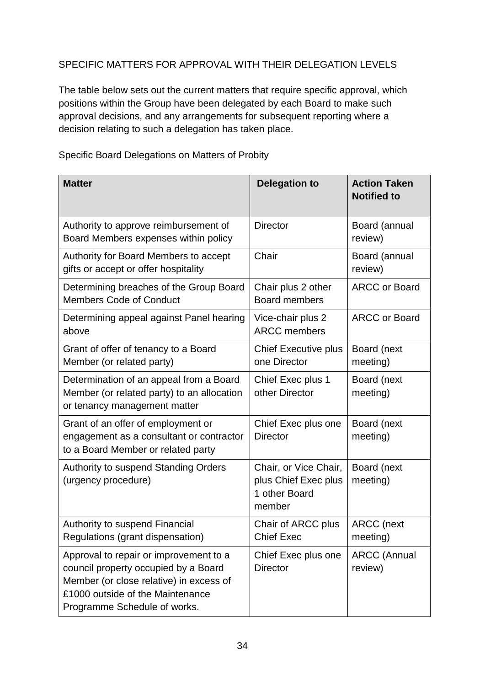# SPECIFIC MATTERS FOR APPROVAL WITH THEIR DELEGATION LEVELS

The table below sets out the current matters that require specific approval, which positions within the Group have been delegated by each Board to make such approval decisions, and any arrangements for subsequent reporting where a decision relating to such a delegation has taken place.

| <b>Matter</b>                                                                                                                                                                                 | <b>Delegation to</b>                                                     | <b>Action Taken</b><br><b>Notified to</b> |
|-----------------------------------------------------------------------------------------------------------------------------------------------------------------------------------------------|--------------------------------------------------------------------------|-------------------------------------------|
| Authority to approve reimbursement of<br>Board Members expenses within policy                                                                                                                 | <b>Director</b>                                                          | Board (annual<br>review)                  |
| Authority for Board Members to accept<br>gifts or accept or offer hospitality                                                                                                                 | Chair                                                                    | Board (annual<br>review)                  |
| Determining breaches of the Group Board<br><b>Members Code of Conduct</b>                                                                                                                     | Chair plus 2 other<br><b>Board members</b>                               | <b>ARCC or Board</b>                      |
| Determining appeal against Panel hearing<br>above                                                                                                                                             | Vice-chair plus 2<br><b>ARCC</b> members                                 | <b>ARCC or Board</b>                      |
| Grant of offer of tenancy to a Board<br>Member (or related party)                                                                                                                             | <b>Chief Executive plus</b><br>one Director                              | Board (next<br>meeting)                   |
| Determination of an appeal from a Board<br>Member (or related party) to an allocation<br>or tenancy management matter                                                                         | Chief Exec plus 1<br>other Director                                      | Board (next<br>meeting)                   |
| Grant of an offer of employment or<br>engagement as a consultant or contractor<br>to a Board Member or related party                                                                          | Chief Exec plus one<br><b>Director</b>                                   | Board (next<br>meeting)                   |
| Authority to suspend Standing Orders<br>(urgency procedure)                                                                                                                                   | Chair, or Vice Chair,<br>plus Chief Exec plus<br>1 other Board<br>member | Board (next<br>meeting)                   |
| Authority to suspend Financial<br>Regulations (grant dispensation)                                                                                                                            | Chair of ARCC plus<br><b>Chief Exec</b>                                  | <b>ARCC</b> (next<br>meeting)             |
| Approval to repair or improvement to a<br>council property occupied by a Board<br>Member (or close relative) in excess of<br>£1000 outside of the Maintenance<br>Programme Schedule of works. | Chief Exec plus one<br><b>Director</b>                                   | <b>ARCC (Annual</b><br>review)            |

Specific Board Delegations on Matters of Probity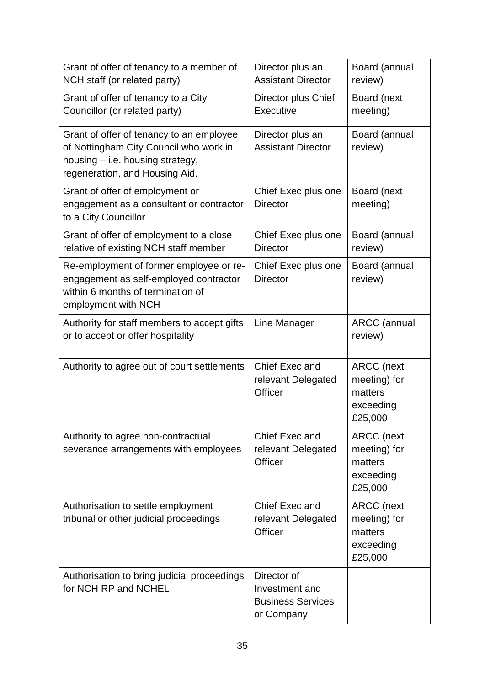| Grant of offer of tenancy to a member of<br>NCH staff (or related party)                                                                                 | Director plus an<br><b>Assistant Director</b>                           | Board (annual<br>review)                                             |
|----------------------------------------------------------------------------------------------------------------------------------------------------------|-------------------------------------------------------------------------|----------------------------------------------------------------------|
| Grant of offer of tenancy to a City<br>Councillor (or related party)                                                                                     | Director plus Chief<br>Executive                                        | Board (next<br>meeting)                                              |
| Grant of offer of tenancy to an employee<br>of Nottingham City Council who work in<br>housing - i.e. housing strategy,<br>regeneration, and Housing Aid. | Director plus an<br><b>Assistant Director</b>                           | Board (annual<br>review)                                             |
| Grant of offer of employment or<br>engagement as a consultant or contractor<br>to a City Councillor                                                      | Chief Exec plus one<br><b>Director</b>                                  | Board (next<br>meeting)                                              |
| Grant of offer of employment to a close<br>relative of existing NCH staff member                                                                         | Chief Exec plus one<br><b>Director</b>                                  | Board (annual<br>review)                                             |
| Re-employment of former employee or re-<br>engagement as self-employed contractor<br>within 6 months of termination of<br>employment with NCH            | Chief Exec plus one<br><b>Director</b>                                  | Board (annual<br>review)                                             |
| Authority for staff members to accept gifts<br>or to accept or offer hospitality                                                                         | Line Manager                                                            | <b>ARCC</b> (annual<br>review)                                       |
| Authority to agree out of court settlements                                                                                                              | Chief Exec and<br>relevant Delegated<br><b>Officer</b>                  | ARCC (next<br>meeting) for<br>matters<br>exceeding<br>£25,000        |
| Authority to agree non-contractual<br>severance arrangements with employees                                                                              | Chief Exec and<br>relevant Delegated<br>Officer                         | <b>ARCC</b> (next<br>meeting) for<br>matters<br>exceeding<br>£25,000 |
| Authorisation to settle employment<br>tribunal or other judicial proceedings                                                                             | Chief Exec and<br>relevant Delegated<br>Officer                         | <b>ARCC</b> (next<br>meeting) for<br>matters<br>exceeding<br>£25,000 |
| Authorisation to bring judicial proceedings<br>for NCH RP and NCHEL                                                                                      | Director of<br>Investment and<br><b>Business Services</b><br>or Company |                                                                      |